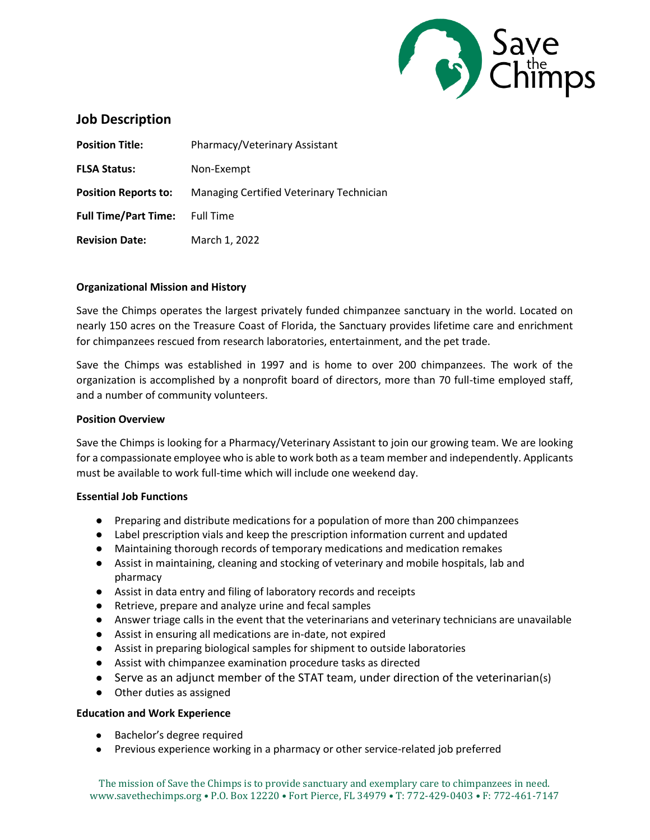

# **Job Description**

| <b>Position Title:</b>      | Pharmacy/Veterinary Assistant            |
|-----------------------------|------------------------------------------|
| <b>FLSA Status:</b>         | Non-Exempt                               |
| <b>Position Reports to:</b> | Managing Certified Veterinary Technician |
| <b>Full Time/Part Time:</b> | <b>Full Time</b>                         |
| <b>Revision Date:</b>       | March 1, 2022                            |

#### **Organizational Mission and History**

Save the Chimps operates the largest privately funded chimpanzee sanctuary in the world. Located on nearly 150 acres on the Treasure Coast of Florida, the Sanctuary provides lifetime care and enrichment for chimpanzees rescued from research laboratories, entertainment, and the pet trade.

Save the Chimps was established in 1997 and is home to over 200 chimpanzees. The work of the organization is accomplished by a nonprofit board of directors, more than 70 full-time employed staff, and a number of community volunteers.

#### **Position Overview**

Save the Chimps is looking for a Pharmacy/Veterinary Assistant to join our growing team. We are looking for a compassionate employee who is able to work both as a team member and independently. Applicants must be available to work full-time which will include one weekend day.

#### **Essential Job Functions**

- Preparing and distribute medications for a population of more than 200 chimpanzees
- Label prescription vials and keep the prescription information current and updated
- Maintaining thorough records of temporary medications and medication remakes
- Assist in maintaining, cleaning and stocking of veterinary and mobile hospitals, lab and pharmacy
- Assist in data entry and filing of laboratory records and receipts
- Retrieve, prepare and analyze urine and fecal samples
- Answer triage calls in the event that the veterinarians and veterinary technicians are unavailable
- Assist in ensuring all medications are in-date, not expired
- Assist in preparing biological samples for shipment to outside laboratories
- Assist with chimpanzee examination procedure tasks as directed
- Serve as an adjunct member of the STAT team, under direction of the veterinarian(s)
- Other duties as assigned

#### **Education and Work Experience**

- Bachelor's degree required
- Previous experience working in a pharmacy or other service-related job preferred